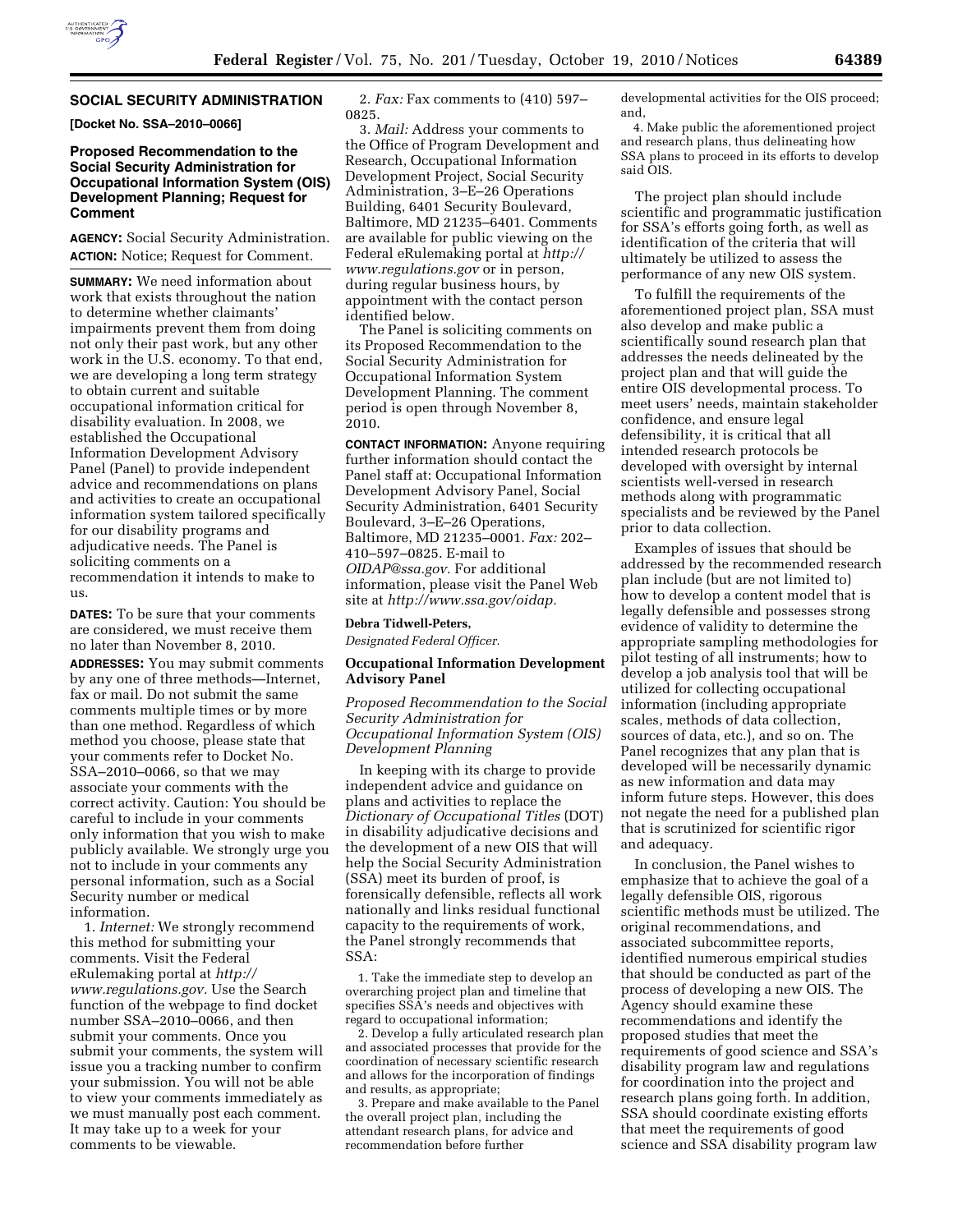

### **SOCIAL SECURITY ADMINISTRATION**

**[Docket No. SSA–2010–0066]** 

# **Proposed Recommendation to the Social Security Administration for Occupational Information System (OIS) Development Planning; Request for Comment**

**AGENCY:** Social Security Administration. **ACTION:** Notice; Request for Comment.

**SUMMARY:** We need information about work that exists throughout the nation to determine whether claimants' impairments prevent them from doing not only their past work, but any other work in the U.S. economy. To that end, we are developing a long term strategy to obtain current and suitable occupational information critical for disability evaluation. In 2008, we established the Occupational Information Development Advisory Panel (Panel) to provide independent advice and recommendations on plans and activities to create an occupational information system tailored specifically for our disability programs and adjudicative needs. The Panel is soliciting comments on a recommendation it intends to make to us.

**DATES:** To be sure that your comments are considered, we must receive them no later than November 8, 2010.

**ADDRESSES:** You may submit comments by any one of three methods—Internet, fax or mail. Do not submit the same comments multiple times or by more than one method. Regardless of which method you choose, please state that your comments refer to Docket No. SSA–2010–0066, so that we may associate your comments with the correct activity. Caution: You should be careful to include in your comments only information that you wish to make publicly available. We strongly urge you not to include in your comments any personal information, such as a Social Security number or medical information.

1. *Internet:* We strongly recommend this method for submitting your comments. Visit the Federal eRulemaking portal at *[http://](http://www.regulations.gov)  [www.regulations.gov.](http://www.regulations.gov)* Use the Search function of the webpage to find docket number SSA–2010–0066, and then submit your comments. Once you submit your comments, the system will issue you a tracking number to confirm your submission. You will not be able to view your comments immediately as we must manually post each comment. It may take up to a week for your comments to be viewable.

2. *Fax:* Fax comments to (410) 597– 0825.

3. *Mail:* Address your comments to the Office of Program Development and Research, Occupational Information Development Project, Social Security Administration, 3–E–26 Operations Building, 6401 Security Boulevard, Baltimore, MD 21235–6401. Comments are available for public viewing on the Federal eRulemaking portal at *[http://](http://www.regulations.gov) [www.regulations.gov](http://www.regulations.gov)* or in person, during regular business hours, by appointment with the contact person identified below.

The Panel is soliciting comments on its Proposed Recommendation to the Social Security Administration for Occupational Information System Development Planning. The comment period is open through November 8, 2010.

**CONTACT INFORMATION:** Anyone requiring further information should contact the Panel staff at: Occupational Information Development Advisory Panel, Social Security Administration, 6401 Security Boulevard, 3–E–26 Operations, Baltimore, MD 21235–0001. *Fax:* 202– 410–597–0825. E-mail to *[OIDAP@ssa.gov.](mailto:OIDAP@ssa.gov)* For additional information, please visit the Panel Web site at *[http://www.ssa.gov/oidap.](http://www.ssa.gov/oidap)* 

#### **Debra Tidwell-Peters,**

*Designated Federal Officer.* 

#### **Occupational Information Development Advisory Panel**

*Proposed Recommendation to the Social Security Administration for Occupational Information System (OIS) Development Planning* 

In keeping with its charge to provide independent advice and guidance on plans and activities to replace the *Dictionary of Occupational Titles* (DOT) in disability adjudicative decisions and the development of a new OIS that will help the Social Security Administration (SSA) meet its burden of proof, is forensically defensible, reflects all work nationally and links residual functional capacity to the requirements of work, the Panel strongly recommends that SSA:

1. Take the immediate step to develop an overarching project plan and timeline that specifies SSA's needs and objectives with regard to occupational information;

2. Develop a fully articulated research plan and associated processes that provide for the coordination of necessary scientific research and allows for the incorporation of findings and results, as appropriate;

3. Prepare and make available to the Panel the overall project plan, including the attendant research plans, for advice and recommendation before further

developmental activities for the OIS proceed; and,

4. Make public the aforementioned project and research plans, thus delineating how SSA plans to proceed in its efforts to develop said OIS.

The project plan should include scientific and programmatic justification for SSA's efforts going forth, as well as identification of the criteria that will ultimately be utilized to assess the performance of any new OIS system.

To fulfill the requirements of the aforementioned project plan, SSA must also develop and make public a scientifically sound research plan that addresses the needs delineated by the project plan and that will guide the entire OIS developmental process. To meet users' needs, maintain stakeholder confidence, and ensure legal defensibility, it is critical that all intended research protocols be developed with oversight by internal scientists well-versed in research methods along with programmatic specialists and be reviewed by the Panel prior to data collection.

Examples of issues that should be addressed by the recommended research plan include (but are not limited to) how to develop a content model that is legally defensible and possesses strong evidence of validity to determine the appropriate sampling methodologies for pilot testing of all instruments; how to develop a job analysis tool that will be utilized for collecting occupational information (including appropriate scales, methods of data collection, sources of data, etc.), and so on. The Panel recognizes that any plan that is developed will be necessarily dynamic as new information and data may inform future steps. However, this does not negate the need for a published plan that is scrutinized for scientific rigor and adequacy.

In conclusion, the Panel wishes to emphasize that to achieve the goal of a legally defensible OIS, rigorous scientific methods must be utilized. The original recommendations, and associated subcommittee reports, identified numerous empirical studies that should be conducted as part of the process of developing a new OIS. The Agency should examine these recommendations and identify the proposed studies that meet the requirements of good science and SSA's disability program law and regulations for coordination into the project and research plans going forth. In addition, SSA should coordinate existing efforts that meet the requirements of good science and SSA disability program law